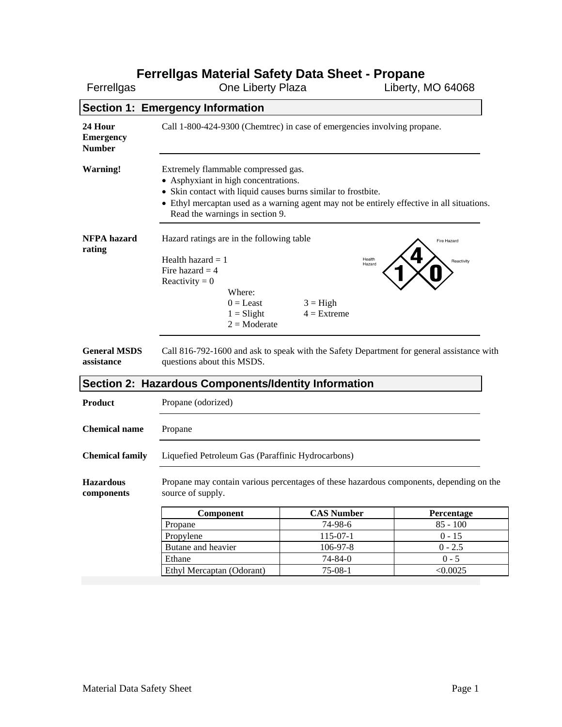# **Ferrellgas Material Safety Data Sheet - Propane**

| Ferrellgas                                   | Ferreligas Material Safety Data Sheet - Propane<br>One Liberty Plaza                                                                                                                                                                                                          |                                                 | Liberty, MO 64068         |
|----------------------------------------------|-------------------------------------------------------------------------------------------------------------------------------------------------------------------------------------------------------------------------------------------------------------------------------|-------------------------------------------------|---------------------------|
|                                              | <b>Section 1: Emergency Information</b>                                                                                                                                                                                                                                       |                                                 |                           |
| 24 Hour<br><b>Emergency</b><br><b>Number</b> | Call 1-800-424-9300 (Chemtrec) in case of emergencies involving propane.                                                                                                                                                                                                      |                                                 |                           |
| <b>Warning!</b>                              | Extremely flammable compressed gas.<br>• Asphyxiant in high concentrations.<br>• Skin contact with liquid causes burns similar to frostbite.<br>• Ethyl mercaptan used as a warning agent may not be entirely effective in all situations.<br>Read the warnings in section 9. |                                                 |                           |
| <b>NFPA</b> hazard<br>rating                 | Hazard ratings are in the following table<br>Health hazard $= 1$<br>Fire hazard $=$ 4<br>Reactivity = $0$<br>Where:<br>$0 =$ Least<br>$1 =$ Slight<br>$2 = \text{Modern}$                                                                                                     | Health<br>Hazard<br>$3 = High$<br>$4 =$ Extreme | Fire Hazard<br>Reactivity |
| <b>General MSDS</b><br>assistance            | Call 816-792-1600 and ask to speak with the Safety Department for general assistance with<br>questions about this MSDS.                                                                                                                                                       |                                                 |                           |
|                                              | Section 2: Hazardous Components/Identity Information                                                                                                                                                                                                                          |                                                 |                           |
| <b>Product</b>                               | Propane (odorized)                                                                                                                                                                                                                                                            |                                                 |                           |
| <b>Chemical name</b>                         | Propane                                                                                                                                                                                                                                                                       |                                                 |                           |
| <b>Chemical family</b>                       | Liquefied Petroleum Gas (Paraffinic Hydrocarbons)                                                                                                                                                                                                                             |                                                 |                           |
| <b>Hazardous</b><br>components               | Propane may contain various percentages of these hazardous components, depending on the<br>source of supply.                                                                                                                                                                  |                                                 |                           |
|                                              | Component                                                                                                                                                                                                                                                                     | <b>CAS Number</b>                               | Percentage                |
|                                              | Propane                                                                                                                                                                                                                                                                       | 74-98-6                                         | $85 - 100$                |
|                                              | Propylene                                                                                                                                                                                                                                                                     | $115-07-1$                                      | $0 - 15$                  |
|                                              | Butane and heavier                                                                                                                                                                                                                                                            | 106-97-8                                        | $0 - 2.5$                 |
|                                              | Ethane                                                                                                                                                                                                                                                                        | $74 - 84 - 0$                                   | $0 - 5$                   |
|                                              | Ethyl Mercaptan (Odorant)                                                                                                                                                                                                                                                     | $75-08-1$                                       | < 0.0025                  |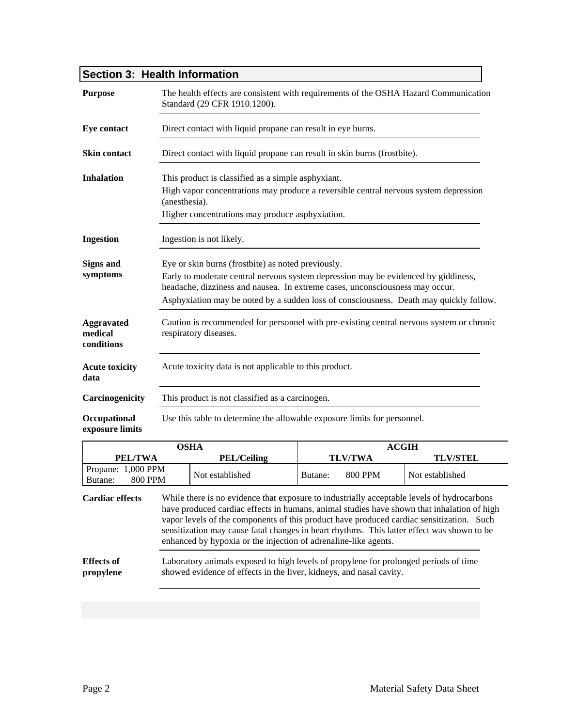# **Section 3: Health Information**

| <b>Purpose</b>                                                          |                                                                                                                                                                                | The health effects are consistent with requirements of the OSHA Hazard Communication<br>Standard (29 CFR 1910.1200).                                                                                                                                                                                                                                                               |         |                |                 |  |  |  |  |
|-------------------------------------------------------------------------|--------------------------------------------------------------------------------------------------------------------------------------------------------------------------------|------------------------------------------------------------------------------------------------------------------------------------------------------------------------------------------------------------------------------------------------------------------------------------------------------------------------------------------------------------------------------------|---------|----------------|-----------------|--|--|--|--|
| <b>Eye contact</b>                                                      |                                                                                                                                                                                | Direct contact with liquid propane can result in eye burns.                                                                                                                                                                                                                                                                                                                        |         |                |                 |  |  |  |  |
| <b>Skin contact</b>                                                     |                                                                                                                                                                                | Direct contact with liquid propane can result in skin burns (frostbite).                                                                                                                                                                                                                                                                                                           |         |                |                 |  |  |  |  |
| <b>Inhalation</b><br>This product is classified as a simple asphyxiant. |                                                                                                                                                                                |                                                                                                                                                                                                                                                                                                                                                                                    |         |                |                 |  |  |  |  |
|                                                                         | (anesthesia).                                                                                                                                                                  | High vapor concentrations may produce a reversible central nervous system depression                                                                                                                                                                                                                                                                                               |         |                |                 |  |  |  |  |
|                                                                         |                                                                                                                                                                                | Higher concentrations may produce asphyxiation.                                                                                                                                                                                                                                                                                                                                    |         |                |                 |  |  |  |  |
| <b>Ingestion</b>                                                        |                                                                                                                                                                                | Ingestion is not likely.                                                                                                                                                                                                                                                                                                                                                           |         |                |                 |  |  |  |  |
| <b>Signs and</b>                                                        |                                                                                                                                                                                | Eye or skin burns (frostbite) as noted previously.                                                                                                                                                                                                                                                                                                                                 |         |                |                 |  |  |  |  |
|                                                                         | symptoms<br>Early to moderate central nervous system depression may be evidenced by giddiness,<br>headache, dizziness and nausea. In extreme cases, unconsciousness may occur. |                                                                                                                                                                                                                                                                                                                                                                                    |         |                |                 |  |  |  |  |
|                                                                         | Asphyxiation may be noted by a sudden loss of consciousness. Death may quickly follow.                                                                                         |                                                                                                                                                                                                                                                                                                                                                                                    |         |                |                 |  |  |  |  |
| <b>Aggravated</b><br>medical<br>conditions                              |                                                                                                                                                                                | Caution is recommended for personnel with pre-existing central nervous system or chronic<br>respiratory diseases.                                                                                                                                                                                                                                                                  |         |                |                 |  |  |  |  |
| <b>Acute toxicity</b><br>data                                           |                                                                                                                                                                                | Acute toxicity data is not applicable to this product.                                                                                                                                                                                                                                                                                                                             |         |                |                 |  |  |  |  |
| Carcinogenicity                                                         |                                                                                                                                                                                | This product is not classified as a carcinogen.                                                                                                                                                                                                                                                                                                                                    |         |                |                 |  |  |  |  |
| Occupational<br>exposure limits                                         |                                                                                                                                                                                | Use this table to determine the allowable exposure limits for personnel.                                                                                                                                                                                                                                                                                                           |         |                |                 |  |  |  |  |
|                                                                         |                                                                                                                                                                                | <b>OSHA</b>                                                                                                                                                                                                                                                                                                                                                                        |         |                | <b>ACGIH</b>    |  |  |  |  |
| PEL/TWA                                                                 |                                                                                                                                                                                | <b>PEL/Ceiling</b>                                                                                                                                                                                                                                                                                                                                                                 |         | <b>TLV/TWA</b> | <b>TLV/STEL</b> |  |  |  |  |
| Propane: 1,000 PPM<br><b>800 PPM</b><br>Butane:                         |                                                                                                                                                                                | Not established                                                                                                                                                                                                                                                                                                                                                                    | Butane: | 800 PPM        | Not established |  |  |  |  |
| <b>Cardiac</b> effects                                                  |                                                                                                                                                                                | While there is no evidence that exposure to industrially acceptable levels of hydrocarbons<br>have produced cardiac effects in humans, animal studies have shown that inhalation of high<br>vapor levels of the components of this product have produced cardiac sensitization. Such<br>sensitization may cause fatal changes in heart rhythms. This latter effect was shown to be |         |                |                 |  |  |  |  |

**Effects of propylene**  Laboratory animals exposed to high levels of propylene for prolonged periods of time showed evidence of effects in the liver, kidneys, and nasal cavity.

enhanced by hypoxia or the injection of adrenaline-like agents.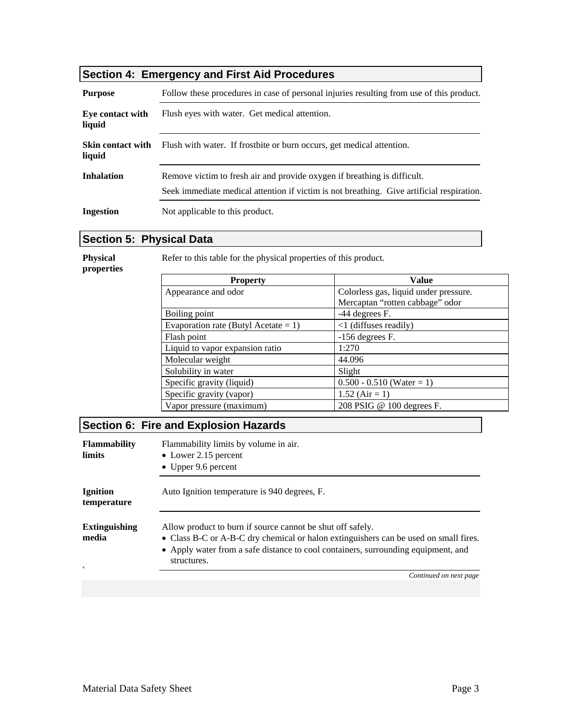# **Section 4: Emergency and First Aid Procedures**

| <b>Purpose</b>                     | Follow these procedures in case of personal injuries resulting from use of this product.                                                                              |
|------------------------------------|-----------------------------------------------------------------------------------------------------------------------------------------------------------------------|
| Eye contact with<br>liquid         | Flush eyes with water. Get medical attention.                                                                                                                         |
| <b>Skin contact with</b><br>liquid | Flush with water. If frostbite or burn occurs, get medical attention.                                                                                                 |
| <b>Inhalation</b>                  | Remove victim to fresh air and provide oxygen if breathing is difficult.<br>Seek immediate medical attention if victim is not breathing. Give artificial respiration. |
| <b>Ingestion</b>                   | Not applicable to this product.                                                                                                                                       |

# **Section 5: Physical Data**

**Physical** 

Refer to this table for the physical properties of this product.

| properties |
|------------|
|------------|

|  |  |  |  | Refer to this table for the physical properties of this product. |  |  |
|--|--|--|--|------------------------------------------------------------------|--|--|
|  |  |  |  |                                                                  |  |  |

| <b>Property</b>                      | <b>Value</b>                          |
|--------------------------------------|---------------------------------------|
| Appearance and odor                  | Colorless gas, liquid under pressure. |
|                                      | Mercaptan "rotten cabbage" odor       |
| Boiling point                        | -44 degrees F.                        |
| Evaporation rate (Butyl Acetate = 1) | $\langle$ 1 (diffuses readily)        |
| Flash point                          | $-156$ degrees F.                     |
| Liquid to vapor expansion ratio      | 1:270                                 |
| Molecular weight                     | 44.096                                |
| Solubility in water                  | Slight                                |
| Specific gravity (liquid)            | $0.500 - 0.510$ (Water = 1)           |
| Specific gravity (vapor)             | $1.52$ (Air = 1)                      |
| Vapor pressure (maximum)             | 208 PSIG @ 100 degrees F.             |

# **Section 6: Fire and Explosion Hazards**

| <b>Flammability</b><br><b>limits</b>            | Flammability limits by volume in air.<br>• Lower 2.15 percent<br>• Upper $9.6$ percent                                                                                                                                                                 |  |  |
|-------------------------------------------------|--------------------------------------------------------------------------------------------------------------------------------------------------------------------------------------------------------------------------------------------------------|--|--|
| <b>Ignition</b><br>temperature                  | Auto Ignition temperature is 940 degrees, F.                                                                                                                                                                                                           |  |  |
| <b>Extinguishing</b><br>media<br>$\overline{4}$ | Allow product to burn if source cannot be shut off safely.<br>• Class B-C or A-B-C dry chemical or halon extinguishers can be used on small fires.<br>• Apply water from a safe distance to cool containers, surrounding equipment, and<br>structures. |  |  |
|                                                 | Continued on next page                                                                                                                                                                                                                                 |  |  |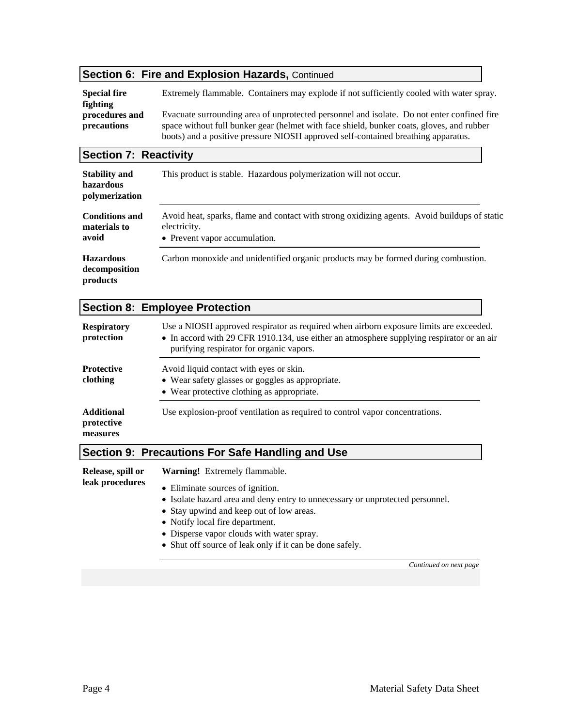#### **Section 6: Fire and Explosion Hazards, Continued**

**Special fire fighting procedures and precautions**  Extremely flammable. Containers may explode if not sufficiently cooled with water spray. Evacuate surrounding area of unprotected personnel and isolate. Do not enter confined fire space without full bunker gear (helmet with face shield, bunker coats, gloves, and rubber boots) and a positive pressure NIOSH approved self-contained breathing apparatus.

#### **Section 7: Reactivity**

| <b>Stability and</b><br>hazardous<br>polymerization | This product is stable. Hazardous polymerization will not occur.                                                                              |
|-----------------------------------------------------|-----------------------------------------------------------------------------------------------------------------------------------------------|
| <b>Conditions and</b><br>materials to<br>avoid      | Avoid heat, sparks, flame and contact with strong oxidizing agents. Avoid buildups of static<br>electricity.<br>• Prevent vapor accumulation. |
| <b>Hazardous</b><br>decomposition<br>products       | Carbon monoxide and unidentified organic products may be formed during combustion.                                                            |

# **Section 8: Employee Protection**

| <b>Respiratory</b><br>protection            | Use a NIOSH approved respirator as required when airborn exposure limits are exceeded.<br>• In accord with 29 CFR 1910.134, use either an atmosphere supplying respirator or an air<br>purifying respirator for organic vapors. |
|---------------------------------------------|---------------------------------------------------------------------------------------------------------------------------------------------------------------------------------------------------------------------------------|
| <b>Protective</b><br>clothing               | Avoid liquid contact with eyes or skin.<br>• Wear safety glasses or goggles as appropriate.<br>• Wear protective clothing as appropriate.                                                                                       |
| <b>Additional</b><br>protective<br>measures | Use explosion-proof ventilation as required to control vapor concentrations.                                                                                                                                                    |

### **Section 9: Precautions For Safe Handling and Use**

| Release, spill or | <b>Warning!</b> Extremely flammable.                                                                                                                                                                                                          |  |  |  |  |  |
|-------------------|-----------------------------------------------------------------------------------------------------------------------------------------------------------------------------------------------------------------------------------------------|--|--|--|--|--|
| leak procedures   | • Eliminate sources of ignition.<br>• Isolate hazard area and deny entry to unnecessary or unprotected personnel.<br>• Stay upwind and keep out of low areas.<br>• Notify local fire department.<br>• Disperse vapor clouds with water spray. |  |  |  |  |  |
|                   | • Shut off source of leak only if it can be done safely.                                                                                                                                                                                      |  |  |  |  |  |

*Continued on next page*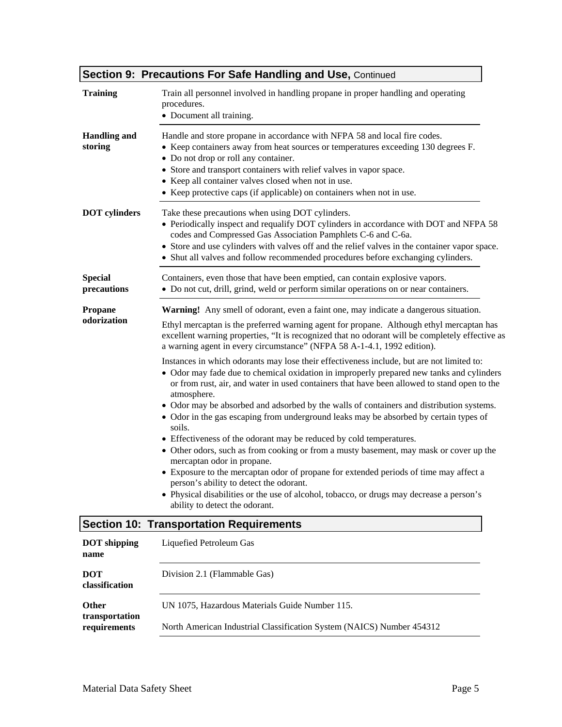|                                | <b>Section 9: Precautions For Safe Handling and Use, Continued</b>                                                                                                                                                                                                                                                                                                                                                                                                                                                                                                                                                                                                                                                                                                                                                                                                                                                                                                                                                                                                                                                                                                                                                                                                                                                                    |
|--------------------------------|---------------------------------------------------------------------------------------------------------------------------------------------------------------------------------------------------------------------------------------------------------------------------------------------------------------------------------------------------------------------------------------------------------------------------------------------------------------------------------------------------------------------------------------------------------------------------------------------------------------------------------------------------------------------------------------------------------------------------------------------------------------------------------------------------------------------------------------------------------------------------------------------------------------------------------------------------------------------------------------------------------------------------------------------------------------------------------------------------------------------------------------------------------------------------------------------------------------------------------------------------------------------------------------------------------------------------------------|
| <b>Training</b>                | Train all personnel involved in handling propane in proper handling and operating<br>procedures.<br>• Document all training.                                                                                                                                                                                                                                                                                                                                                                                                                                                                                                                                                                                                                                                                                                                                                                                                                                                                                                                                                                                                                                                                                                                                                                                                          |
| <b>Handling and</b><br>storing | Handle and store propane in accordance with NFPA 58 and local fire codes.<br>• Keep containers away from heat sources or temperatures exceeding 130 degrees F.<br>• Do not drop or roll any container.<br>• Store and transport containers with relief valves in vapor space.<br>• Keep all container valves closed when not in use.<br>• Keep protective caps (if applicable) on containers when not in use.                                                                                                                                                                                                                                                                                                                                                                                                                                                                                                                                                                                                                                                                                                                                                                                                                                                                                                                         |
| <b>DOT</b> cylinders           | Take these precautions when using DOT cylinders.<br>• Periodically inspect and requalify DOT cylinders in accordance with DOT and NFPA 58<br>codes and Compressed Gas Association Pamphlets C-6 and C-6a.<br>• Store and use cylinders with valves off and the relief valves in the container vapor space.<br>• Shut all valves and follow recommended procedures before exchanging cylinders.                                                                                                                                                                                                                                                                                                                                                                                                                                                                                                                                                                                                                                                                                                                                                                                                                                                                                                                                        |
| <b>Special</b><br>precautions  | Containers, even those that have been emptied, can contain explosive vapors.<br>• Do not cut, drill, grind, weld or perform similar operations on or near containers.                                                                                                                                                                                                                                                                                                                                                                                                                                                                                                                                                                                                                                                                                                                                                                                                                                                                                                                                                                                                                                                                                                                                                                 |
| <b>Propane</b><br>odorization  | Warning! Any smell of odorant, even a faint one, may indicate a dangerous situation.<br>Ethyl mercaptan is the preferred warning agent for propane. Although ethyl mercaptan has<br>excellent warning properties, "It is recognized that no odorant will be completely effective as<br>a warning agent in every circumstance" (NFPA 58 A-1-4.1, 1992 edition).<br>Instances in which odorants may lose their effectiveness include, but are not limited to:<br>• Odor may fade due to chemical oxidation in improperly prepared new tanks and cylinders<br>or from rust, air, and water in used containers that have been allowed to stand open to the<br>atmosphere.<br>• Odor may be absorbed and adsorbed by the walls of containers and distribution systems.<br>• Odor in the gas escaping from underground leaks may be absorbed by certain types of<br>soils.<br>• Effectiveness of the odorant may be reduced by cold temperatures.<br>• Other odors, such as from cooking or from a musty basement, may mask or cover up the<br>mercaptan odor in propane.<br>• Exposure to the mercaptan odor of propane for extended periods of time may affect a<br>person's ability to detect the odorant.<br>• Physical disabilities or the use of alcohol, tobacco, or drugs may decrease a person's<br>ability to detect the odorant. |
|                                | <b>Section 10: Transportation Requirements</b>                                                                                                                                                                                                                                                                                                                                                                                                                                                                                                                                                                                                                                                                                                                                                                                                                                                                                                                                                                                                                                                                                                                                                                                                                                                                                        |
| <b>DOT</b> shipping<br>name    | Liquefied Petroleum Gas                                                                                                                                                                                                                                                                                                                                                                                                                                                                                                                                                                                                                                                                                                                                                                                                                                                                                                                                                                                                                                                                                                                                                                                                                                                                                                               |
| <b>DOT</b>                     | Division 2.1 (Flammable Gas)                                                                                                                                                                                                                                                                                                                                                                                                                                                                                                                                                                                                                                                                                                                                                                                                                                                                                                                                                                                                                                                                                                                                                                                                                                                                                                          |

UN 1075, Hazardous Materials Guide Number 115.

North American Industrial Classification System (NAICS) Number 454312

**classification** 

**transportation requirements** 

**Other**